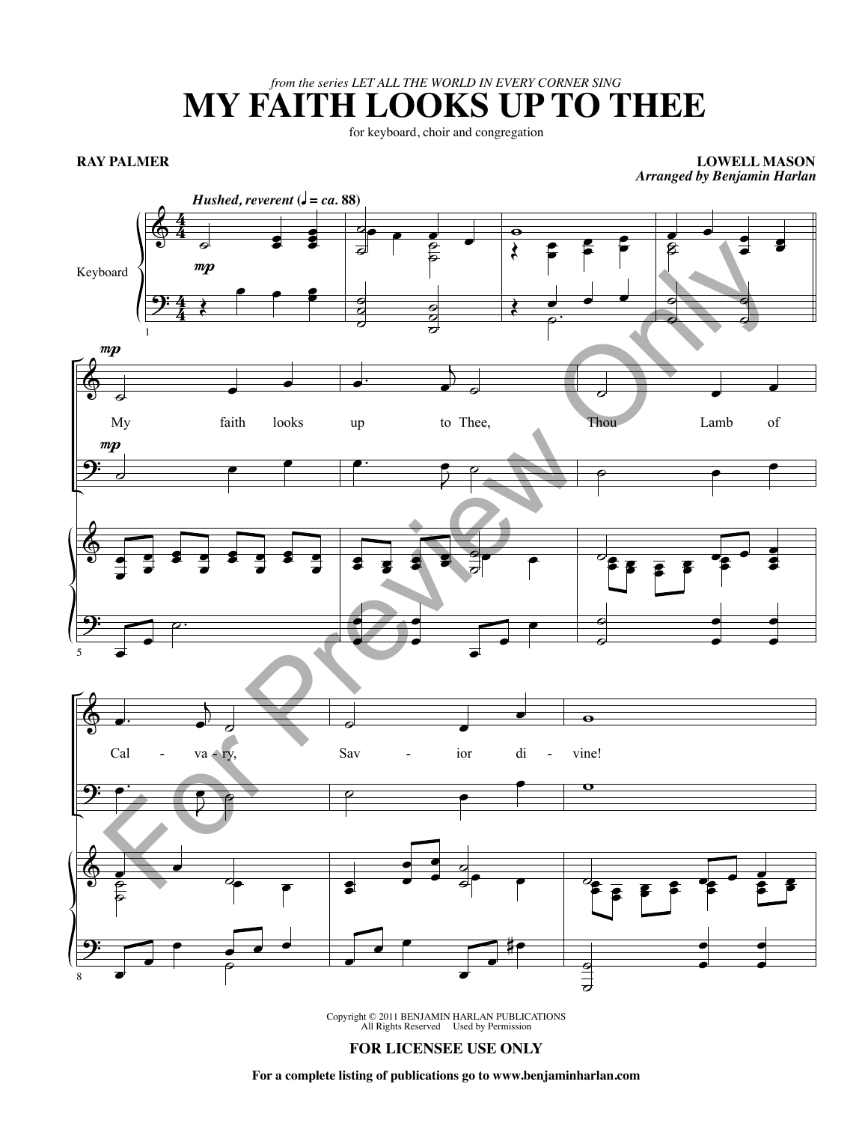*from the series LET ALL THE WORLD IN EVERY CORNER SING*

## **MY FAITH LOOKS UP TO THEE**

for keyboard, choir and congregation

**RAY PALMER**

**LOWELL MASON** *Arranged by Benjamin Harlan*



Copyright © 2011 BENJAMIN HARLAN PUBLICATIONS All Rights Reserved Used by Permission

## **FOR LICENSEE USE ONLY**

**For a complete listing of publications go to www.benjaminharlan.com**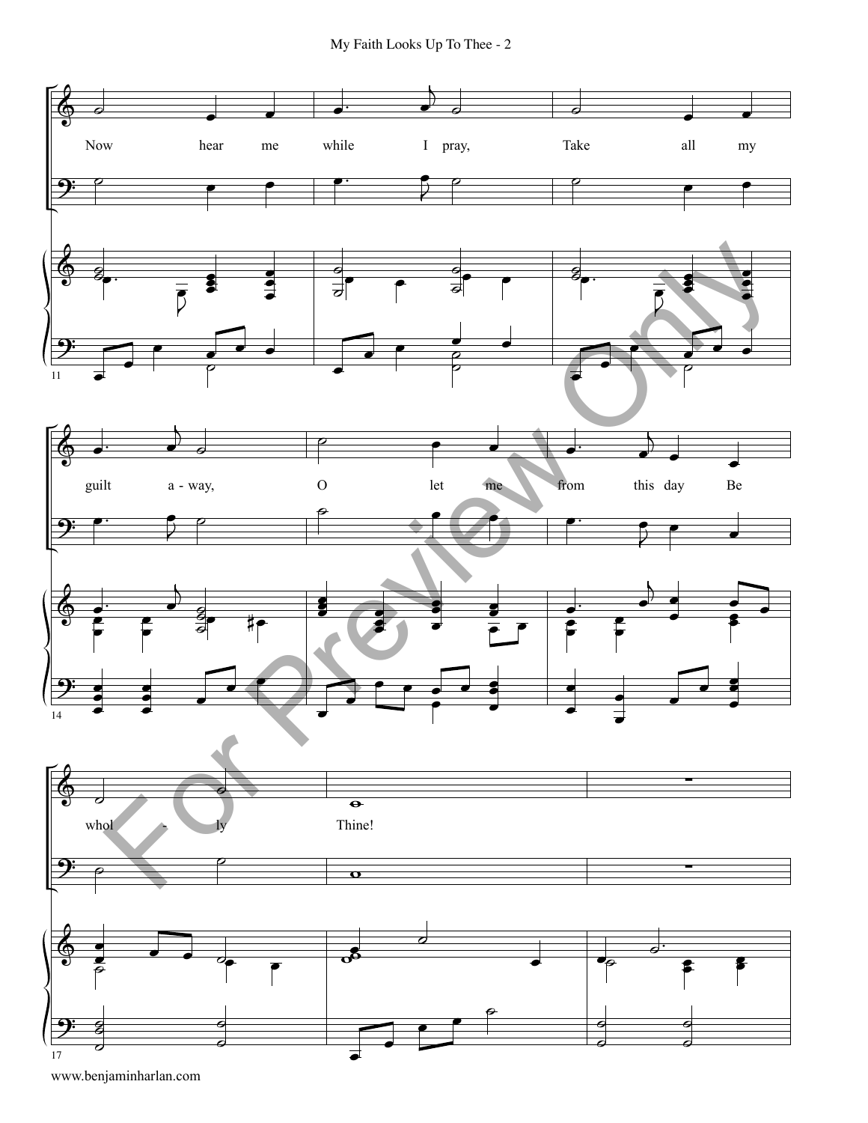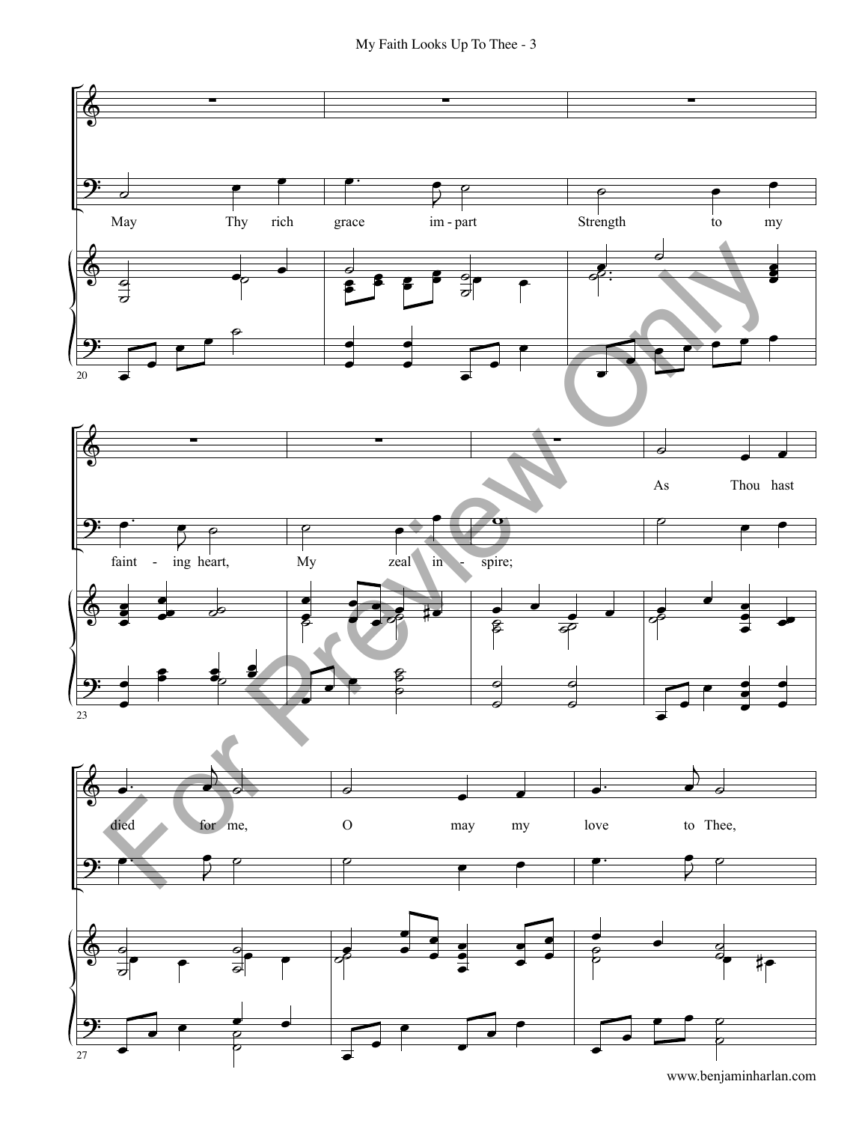My Faith Looks Up To Thee - 3

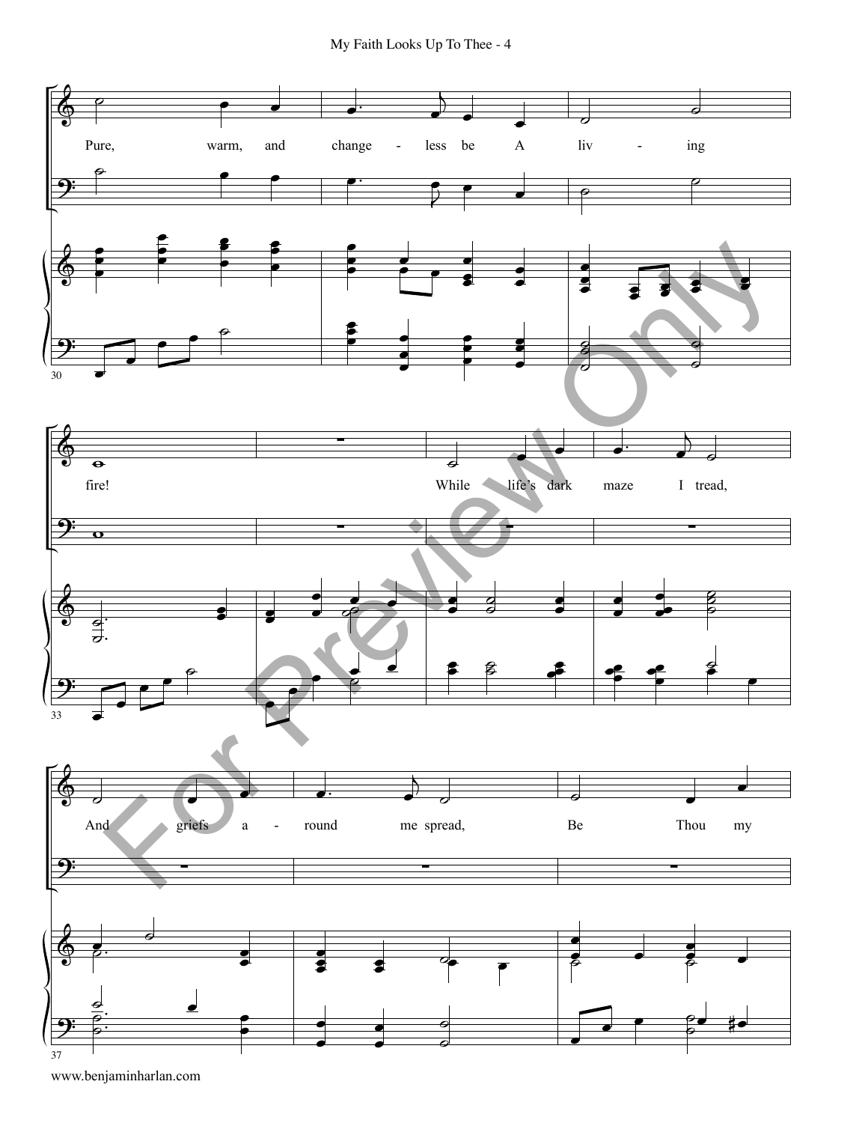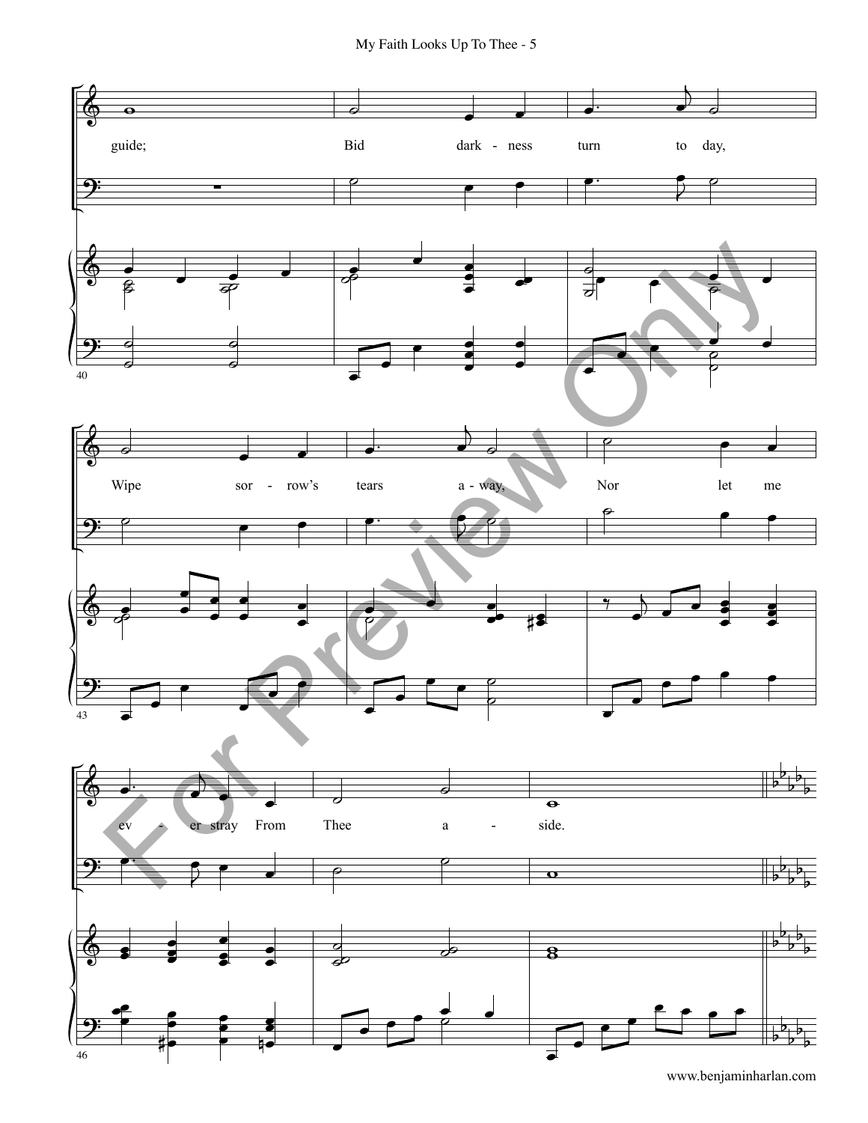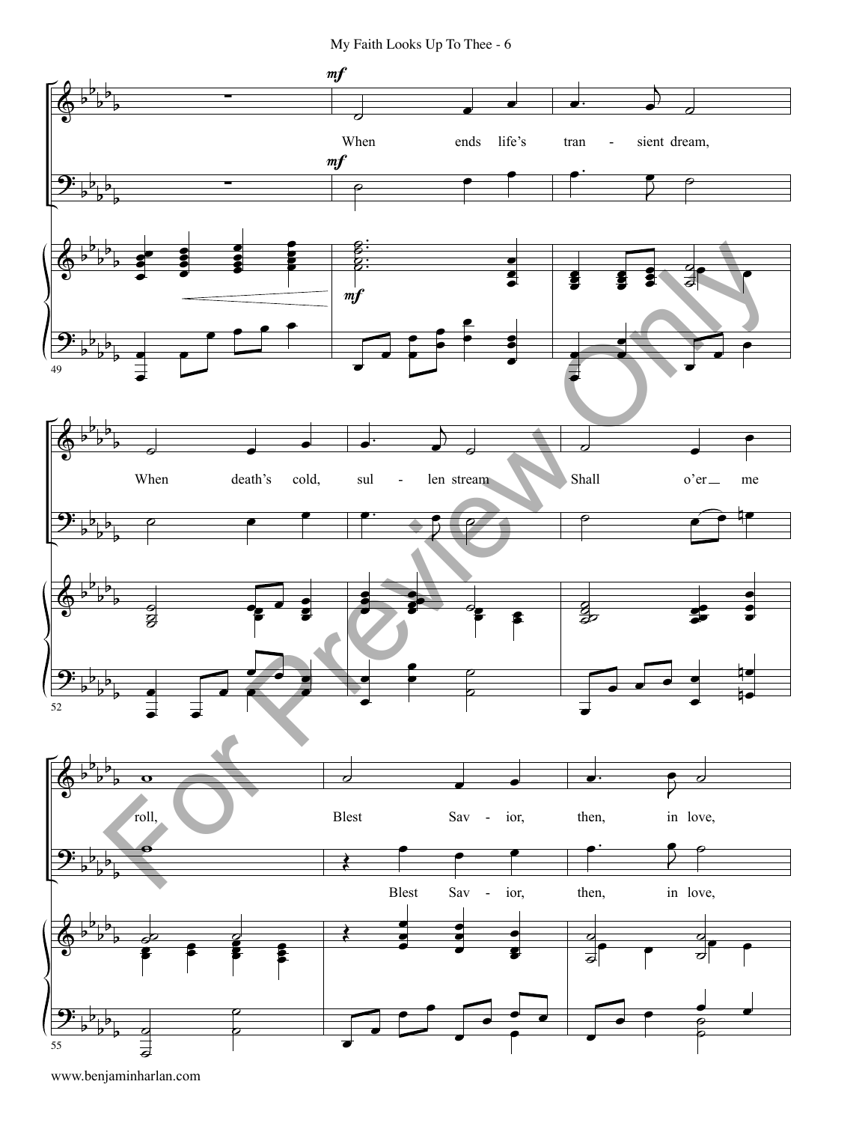My Faith Looks Up To Thee - 6